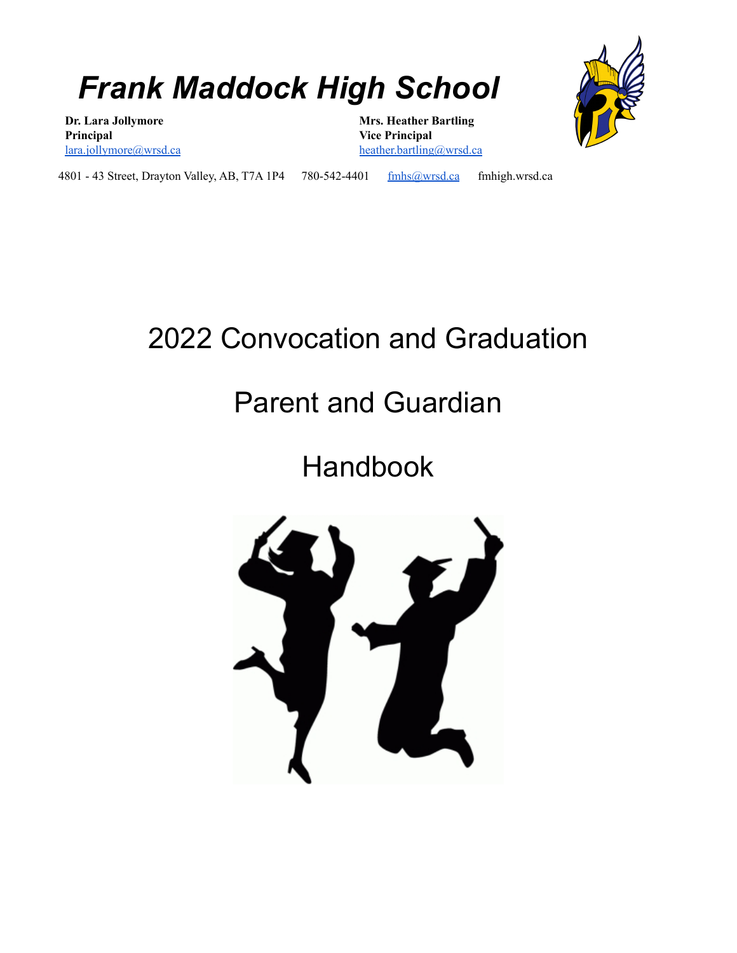## *Frank Maddock High School*

**Dr. Lara Jollymore Principal** [lara.jollymore@wrsd.ca](mailto:lara.jollymore@wrsd.ca) **Mrs. Heather Bartling Vice Principal** [heather.bartling@wrsd.ca](mailto:heather.bartling@wrsd.ca)



4801 - 43 Street, Drayton Valley, AB, T7A 1P4 780-542-4401 [fmhs@wrsd.ca](mailto:fmhs@wrsd.ca) fmhigh.wrsd.ca

### 2022 Convocation and Graduation

### Parent and Guardian

### Handbook

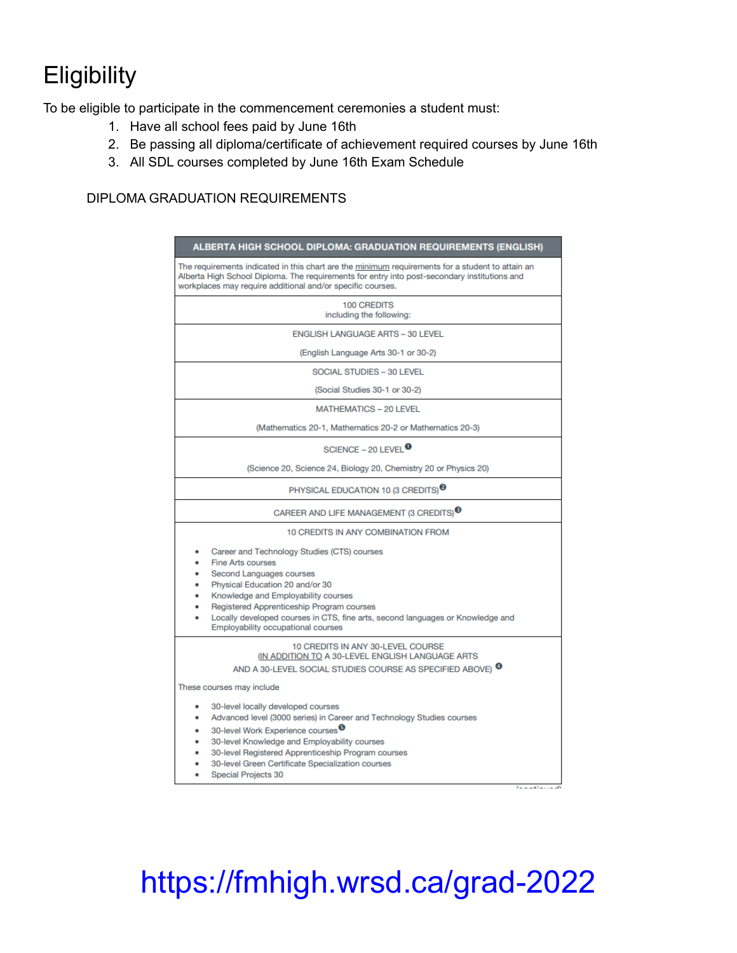### **Eligibility**

To be eligible to participate in the commencement ceremonies a student must:

- 1. Have all school fees paid by June 16th
- 2. Be passing all diploma/certificate of achievement required courses by June 16th
- 3. All SDL courses completed by June 16th Exam Schedule

#### DIPLOMA GRADUATION REQUIREMENTS

| ALBERTA HIGH SCHOOL DIPLOMA: GRADUATION REQUIREMENTS (ENGLISH)                                                                                                                                                                                                                                                                                            |  |  |  |
|-----------------------------------------------------------------------------------------------------------------------------------------------------------------------------------------------------------------------------------------------------------------------------------------------------------------------------------------------------------|--|--|--|
| The requirements indicated in this chart are the minimum requirements for a student to attain an<br>Alberta High School Diploma. The requirements for entry into post-secondary institutions and<br>workplaces may require additional and/or specific courses.                                                                                            |  |  |  |
| <b>100 CREDITS</b><br>including the following:                                                                                                                                                                                                                                                                                                            |  |  |  |
| <b>ENGLISH LANGUAGE ARTS - 30 LEVEL</b>                                                                                                                                                                                                                                                                                                                   |  |  |  |
| (English Language Arts 30-1 or 30-2)                                                                                                                                                                                                                                                                                                                      |  |  |  |
| <b>SOCIAL STUDIES - 30 LEVEL</b>                                                                                                                                                                                                                                                                                                                          |  |  |  |
| (Social Studies 30-1 or 30-2)                                                                                                                                                                                                                                                                                                                             |  |  |  |
| <b>MATHEMATICS - 20 LEVEL</b>                                                                                                                                                                                                                                                                                                                             |  |  |  |
| (Mathematics 20-1, Mathematics 20-2 or Mathematics 20-3)                                                                                                                                                                                                                                                                                                  |  |  |  |
| SCIENCE - 20 LEVEL $\bullet$                                                                                                                                                                                                                                                                                                                              |  |  |  |
| (Science 20, Science 24, Biology 20, Chemistry 20 or Physics 20)                                                                                                                                                                                                                                                                                          |  |  |  |
| PHYSICAL EDUCATION 10 (3 CREDITS) <sup><sup>3</sup></sup>                                                                                                                                                                                                                                                                                                 |  |  |  |
| CAREER AND LIFE MANAGEMENT (3 CREDITS) <sup>®</sup>                                                                                                                                                                                                                                                                                                       |  |  |  |
| 10 CREDITS IN ANY COMBINATION FROM                                                                                                                                                                                                                                                                                                                        |  |  |  |
| Career and Technology Studies (CTS) courses<br><b>Fine Arts courses</b><br>Second Languages courses<br>Physical Education 20 and/or 30<br>Knowledge and Employability courses<br>Registered Apprenticeship Program courses<br>Locally developed courses in CTS, fine arts, second languages or Knowledge and<br><b>Employability occupational courses</b> |  |  |  |
| 10 CREDITS IN ANY 30-LEVEL COURSE<br>(IN ADDITION TO A 30-LEVEL ENGLISH LANGUAGE ARTS)<br>AND A 30-LEVEL SOCIAL STUDIES COURSE AS SPECIFIED ABOVE) <sup>4</sup>                                                                                                                                                                                           |  |  |  |
| These courses may include                                                                                                                                                                                                                                                                                                                                 |  |  |  |
| 30-level locally developed courses<br>Advanced level (3000 series) in Career and Technology Studies courses<br>30-level Work Experience courses <sup>9</sup><br>30-level Knowledge and Employability courses<br>30-level Registered Apprenticeship Program courses<br>30-level Green Certificate Specialization courses<br>Special Projects 30            |  |  |  |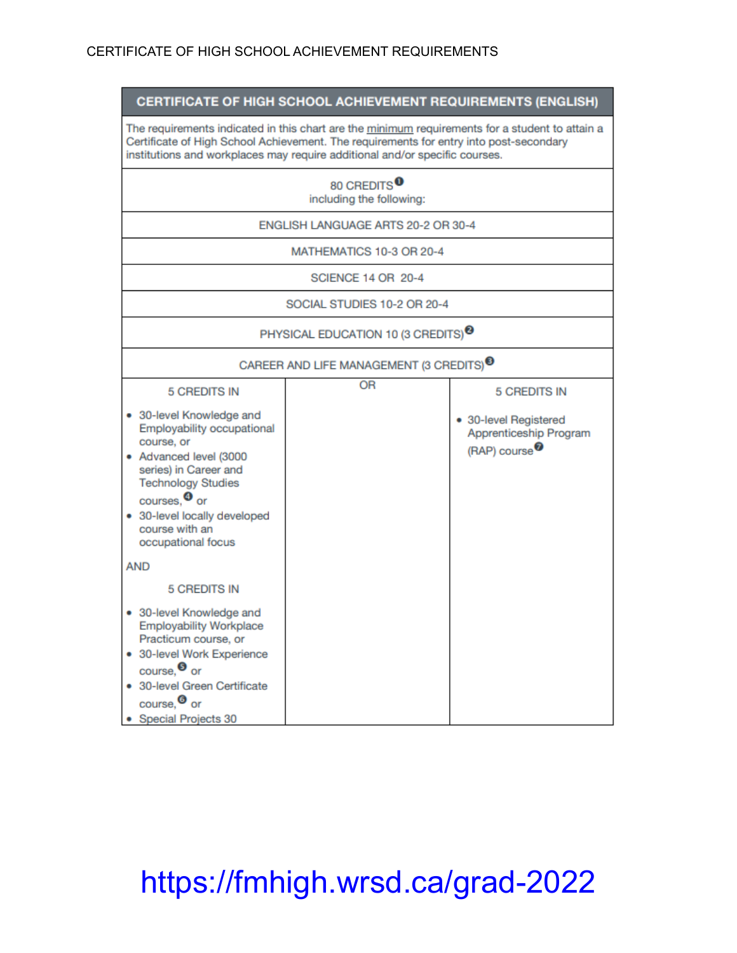#### CERTIFICATE OF HIGH SCHOOL ACHIEVEMENT REQUIREMENTS (ENGLISH)

The requirements indicated in this chart are the minimum requirements for a student to attain a Certificate of High School Achievement. The requirements for entry into post-secondary institutions and workplaces may require additional and/or specific courses.

| 80 CREDITS <sup>O</sup><br>including the following:                                                                                                                                                                                                                               |           |                                                                                                     |  |
|-----------------------------------------------------------------------------------------------------------------------------------------------------------------------------------------------------------------------------------------------------------------------------------|-----------|-----------------------------------------------------------------------------------------------------|--|
| ENGLISH LANGUAGE ARTS 20-2 OR 30-4                                                                                                                                                                                                                                                |           |                                                                                                     |  |
| MATHEMATICS 10-3 OR 20-4                                                                                                                                                                                                                                                          |           |                                                                                                     |  |
| SCIENCE 14 OR 20-4                                                                                                                                                                                                                                                                |           |                                                                                                     |  |
| SOCIAL STUDIES 10-2 OR 20-4                                                                                                                                                                                                                                                       |           |                                                                                                     |  |
| PHYSICAL EDUCATION 10 (3 CREDITS) <sup>3</sup>                                                                                                                                                                                                                                    |           |                                                                                                     |  |
| CAREER AND LIFE MANAGEMENT (3 CREDITS) <sup>3</sup>                                                                                                                                                                                                                               |           |                                                                                                     |  |
| <b>5 CREDITS IN</b><br>• 30-level Knowledge and<br>Employability occupational<br>course, or<br>• Advanced level (3000<br>series) in Career and<br><b>Technology Studies</b><br>courses. <sup>4</sup> or<br>• 30-level locally developed<br>course with an<br>occupational focus   | <b>OR</b> | <b>5 CREDITS IN</b><br>• 30-level Registered<br>Apprenticeship Program<br>(RAP) course <sup>7</sup> |  |
| <b>AND</b><br><b>5 CREDITS IN</b><br>• 30-level Knowledge and<br><b>Employability Workplace</b><br>Practicum course, or<br>• 30-level Work Experience<br>$_{\text{course}}$ $\bullet$ or<br>• 30-level Green Certificate<br>course. <sup>O</sup> or<br><b>Special Projects 30</b> |           |                                                                                                     |  |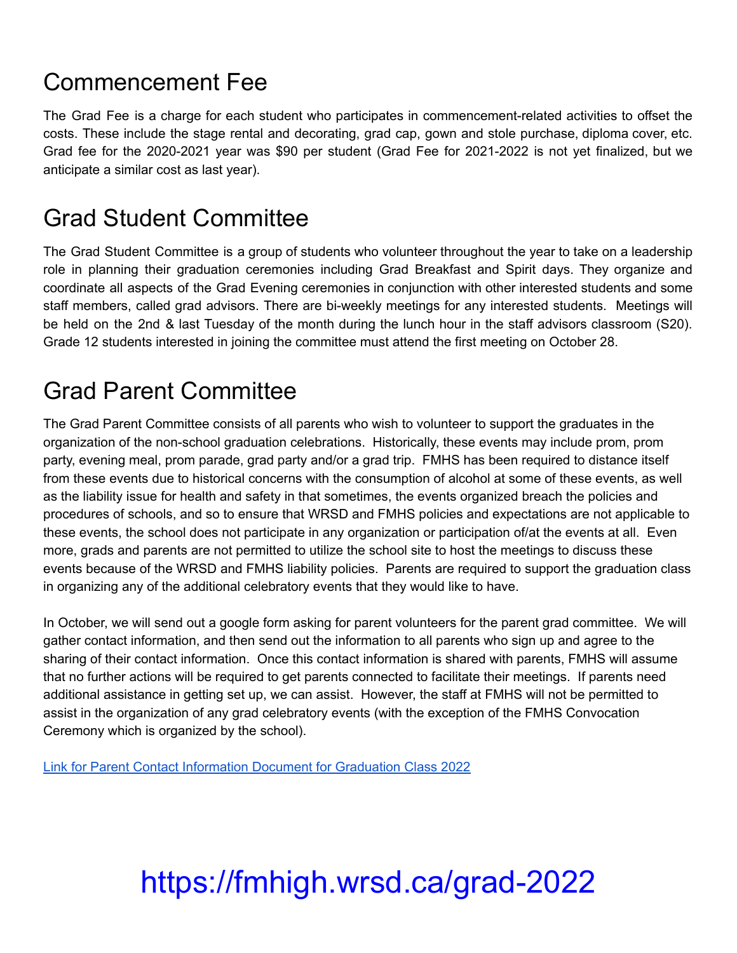### Commencement Fee

The Grad Fee is a charge for each student who participates in commencement-related activities to offset the costs. These include the stage rental and decorating, grad cap, gown and stole purchase, diploma cover, etc. Grad fee for the 2020-2021 year was \$90 per student (Grad Fee for 2021-2022 is not yet finalized, but we anticipate a similar cost as last year).

#### Grad Student Committee

The Grad Student Committee is a group of students who volunteer throughout the year to take on a leadership role in planning their graduation ceremonies including Grad Breakfast and Spirit days. They organize and coordinate all aspects of the Grad Evening ceremonies in conjunction with other interested students and some staff members, called grad advisors. There are bi-weekly meetings for any interested students. Meetings will be held on the 2nd & last Tuesday of the month during the lunch hour in the staff advisors classroom (S20). Grade 12 students interested in joining the committee must attend the first meeting on October 28.

#### Grad Parent Committee

The Grad Parent Committee consists of all parents who wish to volunteer to support the graduates in the organization of the non-school graduation celebrations. Historically, these events may include prom, prom party, evening meal, prom parade, grad party and/or a grad trip. FMHS has been required to distance itself from these events due to historical concerns with the consumption of alcohol at some of these events, as well as the liability issue for health and safety in that sometimes, the events organized breach the policies and procedures of schools, and so to ensure that WRSD and FMHS policies and expectations are not applicable to these events, the school does not participate in any organization or participation of/at the events at all. Even more, grads and parents are not permitted to utilize the school site to host the meetings to discuss these events because of the WRSD and FMHS liability policies. Parents are required to support the graduation class in organizing any of the additional celebratory events that they would like to have.

In October, we will send out a google form asking for parent volunteers for the parent grad committee. We will gather contact information, and then send out the information to all parents who sign up and agree to the sharing of their contact information. Once this contact information is shared with parents, FMHS will assume that no further actions will be required to get parents connected to facilitate their meetings. If parents need additional assistance in getting set up, we can assist. However, the staff at FMHS will not be permitted to assist in the organization of any grad celebratory events (with the exception of the FMHS Convocation Ceremony which is organized by the school).

Link for Parent Contact [Information](https://docs.google.com/forms/d/e/1FAIpQLSdlUlUHBr656bEjIatNFLL-z7463gYaaS_xDW-STq0KDnTQLw/viewform?usp=sf_link) Document for Graduation Class 2022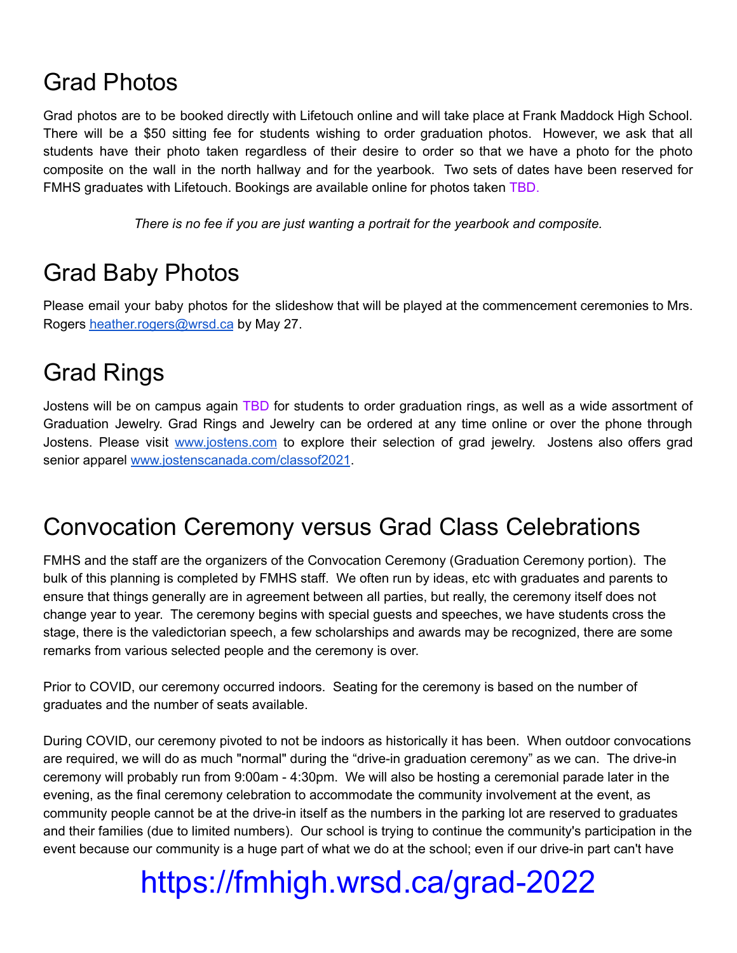#### Grad Photos

Grad photos are to be booked directly with Lifetouch online and will take place at Frank Maddock High School. There will be a \$50 sitting fee for students wishing to order graduation photos. However, we ask that all students have their photo taken regardless of their desire to order so that we have a photo for the photo composite on the wall in the north hallway and for the yearbook. Two sets of dates have been reserved for FMHS graduates with Lifetouch. Bookings are available online for photos taken TBD.

*There is no fee if you are just wanting a portrait for the yearbook and composite.*

#### Grad Baby Photos

Please email your baby photos for the slideshow that will be played at the commencement ceremonies to Mrs. Rogers [heather.rogers@wrsd.ca](mailto:heather.rogers@wrsd.ca) by May 27.

### Grad Rings

Jostens will be on campus again TBD for students to order graduation rings, as well as a wide assortment of Graduation Jewelry. Grad Rings and Jewelry can be ordered at any time online or over the phone through Jostens. Please visit [www.jostens.com](http://www.jostens.com/) to explore their selection of grad jewelry. Jostens also offers grad senior apparel [www.jostenscanada.com/classof2021](https://www.jostenscanada.com/classof2021.html).

#### Convocation Ceremony versus Grad Class Celebrations

FMHS and the staff are the organizers of the Convocation Ceremony (Graduation Ceremony portion). The bulk of this planning is completed by FMHS staff. We often run by ideas, etc with graduates and parents to ensure that things generally are in agreement between all parties, but really, the ceremony itself does not change year to year. The ceremony begins with special guests and speeches, we have students cross the stage, there is the valedictorian speech, a few scholarships and awards may be recognized, there are some remarks from various selected people and the ceremony is over.

Prior to COVID, our ceremony occurred indoors. Seating for the ceremony is based on the number of graduates and the number of seats available.

During COVID, our ceremony pivoted to not be indoors as historically it has been. When outdoor convocations are required, we will do as much "normal" during the "drive-in graduation ceremony" as we can. The drive-in ceremony will probably run from 9:00am - 4:30pm. We will also be hosting a ceremonial parade later in the evening, as the final ceremony celebration to accommodate the community involvement at the event, as community people cannot be at the drive-in itself as the numbers in the parking lot are reserved to graduates and their families (due to limited numbers). Our school is trying to continue the community's participation in the event because our community is a huge part of what we do at the school; even if our drive-in part can't have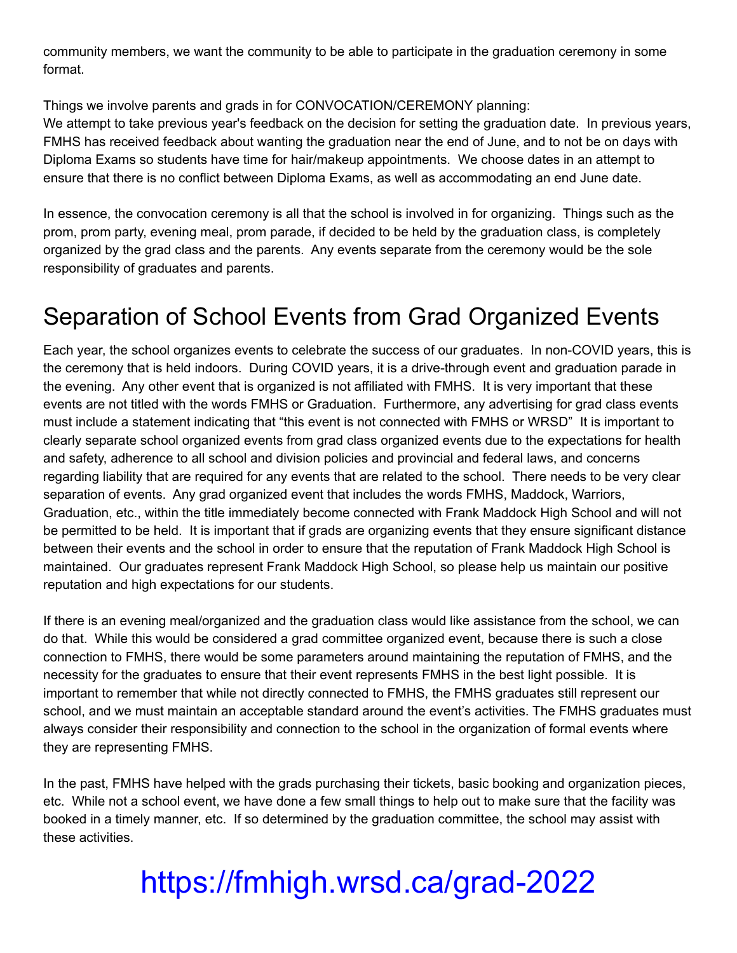community members, we want the community to be able to participate in the graduation ceremony in some format.

Things we involve parents and grads in for CONVOCATION/CEREMONY planning: We attempt to take previous year's feedback on the decision for setting the graduation date. In previous years, FMHS has received feedback about wanting the graduation near the end of June, and to not be on days with Diploma Exams so students have time for hair/makeup appointments. We choose dates in an attempt to ensure that there is no conflict between Diploma Exams, as well as accommodating an end June date.

In essence, the convocation ceremony is all that the school is involved in for organizing. Things such as the prom, prom party, evening meal, prom parade, if decided to be held by the graduation class, is completely organized by the grad class and the parents. Any events separate from the ceremony would be the sole responsibility of graduates and parents.

### Separation of School Events from Grad Organized Events

Each year, the school organizes events to celebrate the success of our graduates. In non-COVID years, this is the ceremony that is held indoors. During COVID years, it is a drive-through event and graduation parade in the evening. Any other event that is organized is not affiliated with FMHS. It is very important that these events are not titled with the words FMHS or Graduation. Furthermore, any advertising for grad class events must include a statement indicating that "this event is not connected with FMHS or WRSD" It is important to clearly separate school organized events from grad class organized events due to the expectations for health and safety, adherence to all school and division policies and provincial and federal laws, and concerns regarding liability that are required for any events that are related to the school. There needs to be very clear separation of events. Any grad organized event that includes the words FMHS, Maddock, Warriors, Graduation, etc., within the title immediately become connected with Frank Maddock High School and will not be permitted to be held. It is important that if grads are organizing events that they ensure significant distance between their events and the school in order to ensure that the reputation of Frank Maddock High School is maintained. Our graduates represent Frank Maddock High School, so please help us maintain our positive reputation and high expectations for our students.

If there is an evening meal/organized and the graduation class would like assistance from the school, we can do that. While this would be considered a grad committee organized event, because there is such a close connection to FMHS, there would be some parameters around maintaining the reputation of FMHS, and the necessity for the graduates to ensure that their event represents FMHS in the best light possible. It is important to remember that while not directly connected to FMHS, the FMHS graduates still represent our school, and we must maintain an acceptable standard around the event's activities. The FMHS graduates must always consider their responsibility and connection to the school in the organization of formal events where they are representing FMHS.

In the past, FMHS have helped with the grads purchasing their tickets, basic booking and organization pieces, etc. While not a school event, we have done a few small things to help out to make sure that the facility was booked in a timely manner, etc. If so determined by the graduation committee, the school may assist with these activities.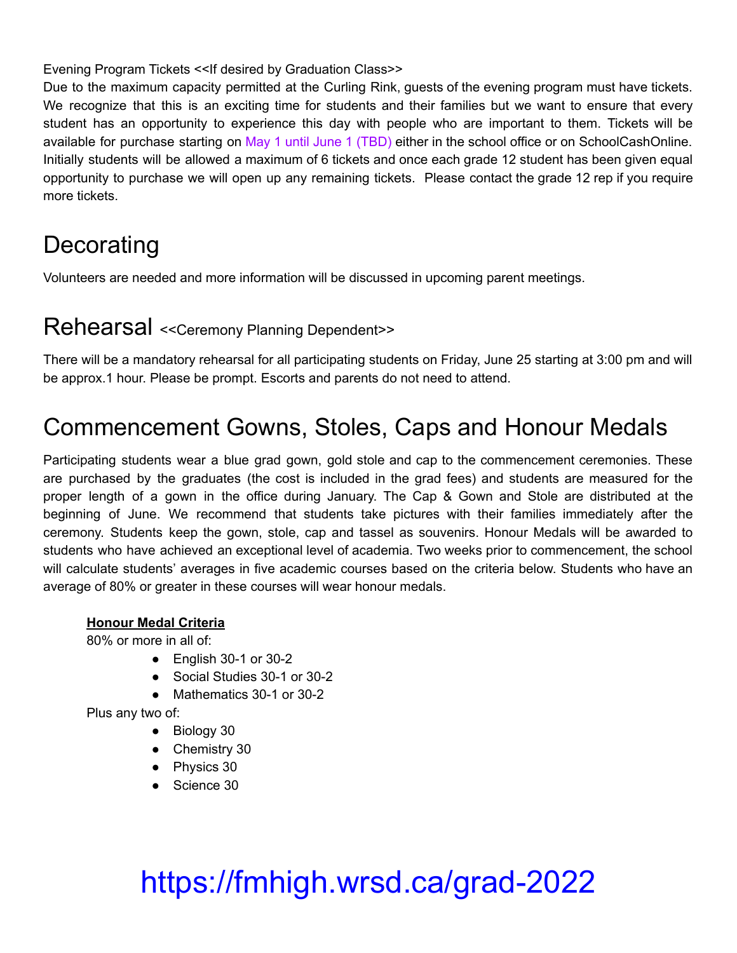Evening Program Tickets << If desired by Graduation Class>>

Due to the maximum capacity permitted at the Curling Rink, guests of the evening program must have tickets. We recognize that this is an exciting time for students and their families but we want to ensure that every student has an opportunity to experience this day with people who are important to them. Tickets will be available for purchase starting on May 1 until June 1 (TBD) either in the school office or on SchoolCashOnline. Initially students will be allowed a maximum of 6 tickets and once each grade 12 student has been given equal opportunity to purchase we will open up any remaining tickets. Please contact the grade 12 rep if you require more tickets.

### **Decorating**

Volunteers are needed and more information will be discussed in upcoming parent meetings.

#### Rehearsal <<Ceremony Planning Dependent>>

There will be a mandatory rehearsal for all participating students on Friday, June 25 starting at 3:00 pm and will be approx.1 hour. Please be prompt. Escorts and parents do not need to attend.

#### Commencement Gowns, Stoles, Caps and Honour Medals

Participating students wear a blue grad gown, gold stole and cap to the commencement ceremonies. These are purchased by the graduates (the cost is included in the grad fees) and students are measured for the proper length of a gown in the office during January. The Cap & Gown and Stole are distributed at the beginning of June. We recommend that students take pictures with their families immediately after the ceremony. Students keep the gown, stole, cap and tassel as souvenirs. Honour Medals will be awarded to students who have achieved an exceptional level of academia. Two weeks prior to commencement, the school will calculate students' averages in five academic courses based on the criteria below. Students who have an average of 80% or greater in these courses will wear honour medals.

#### **Honour Medal Criteria**

80% or more in all of:

- English 30-1 or 30-2
- Social Studies 30-1 or 30-2
- Mathematics 30-1 or 30-2

Plus any two of:

- Biology 30
- Chemistry 30
- Physics 30
- Science 30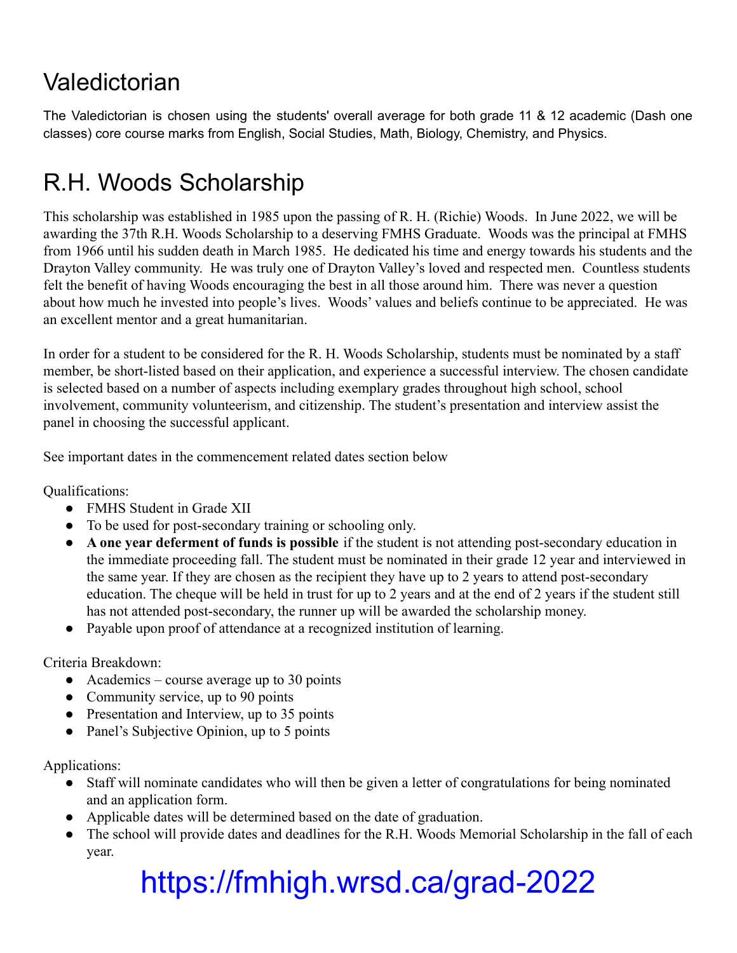#### Valedictorian

The Valedictorian is chosen using the students' overall average for both grade 11 & 12 academic (Dash one classes) core course marks from English, Social Studies, Math, Biology, Chemistry, and Physics.

### R.H. Woods Scholarship

This scholarship was established in 1985 upon the passing of R. H. (Richie) Woods. In June 2022, we will be awarding the 37th R.H. Woods Scholarship to a deserving FMHS Graduate. Woods was the principal at FMHS from 1966 until his sudden death in March 1985. He dedicated his time and energy towards his students and the Drayton Valley community. He was truly one of Drayton Valley's loved and respected men. Countless students felt the benefit of having Woods encouraging the best in all those around him. There was never a question about how much he invested into people's lives. Woods' values and beliefs continue to be appreciated. He was an excellent mentor and a great humanitarian.

In order for a student to be considered for the R. H. Woods Scholarship, students must be nominated by a staff member, be short-listed based on their application, and experience a successful interview. The chosen candidate is selected based on a number of aspects including exemplary grades throughout high school, school involvement, community volunteerism, and citizenship. The student's presentation and interview assist the panel in choosing the successful applicant.

See important dates in the commencement related dates section below

Qualifications:

- FMHS Student in Grade XII
- To be used for post-secondary training or schooling only.
- **A one year deferment of funds is possible** if the student is not attending post-secondary education in the immediate proceeding fall. The student must be nominated in their grade 12 year and interviewed in the same year. If they are chosen as the recipient they have up to 2 years to attend post-secondary education. The cheque will be held in trust for up to 2 years and at the end of 2 years if the student still has not attended post-secondary, the runner up will be awarded the scholarship money.
- Payable upon proof of attendance at a recognized institution of learning.

Criteria Breakdown:

- Academics course average up to 30 points
- Community service, up to 90 points
- Presentation and Interview, up to 35 points
- Panel's Subjective Opinion, up to 5 points

Applications:

- Staff will nominate candidates who will then be given a letter of congratulations for being nominated and an application form.
- Applicable dates will be determined based on the date of graduation.
- The school will provide dates and deadlines for the R.H. Woods Memorial Scholarship in the fall of each year.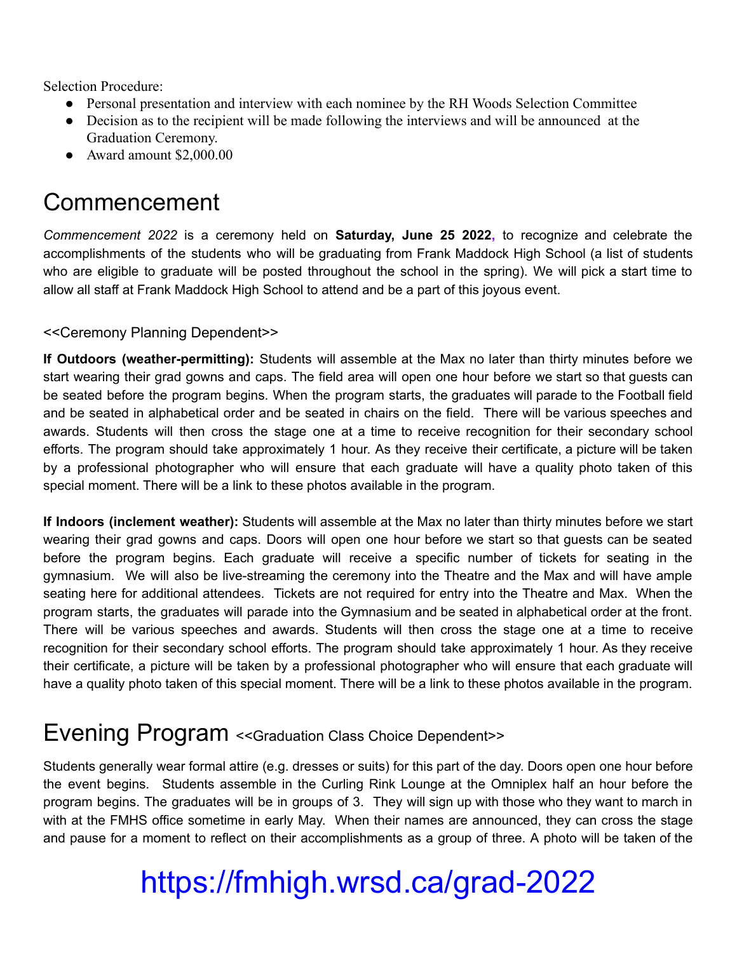Selection Procedure:

- Personal presentation and interview with each nominee by the RH Woods Selection Committee
- Decision as to the recipient will be made following the interviews and will be announced at the Graduation Ceremony.
- Award amount \$2,000.00

#### Commencement

*Commencement 2022* is a ceremony held on **Saturday, June 25 2022,** to recognize and celebrate the accomplishments of the students who will be graduating from Frank Maddock High School (a list of students who are eligible to graduate will be posted throughout the school in the spring). We will pick a start time to allow all staff at Frank Maddock High School to attend and be a part of this joyous event.

#### <<Ceremony Planning Dependent>>

**If Outdoors (weather-permitting):** Students will assemble at the Max no later than thirty minutes before we start wearing their grad gowns and caps. The field area will open one hour before we start so that guests can be seated before the program begins. When the program starts, the graduates will parade to the Football field and be seated in alphabetical order and be seated in chairs on the field. There will be various speeches and awards. Students will then cross the stage one at a time to receive recognition for their secondary school efforts. The program should take approximately 1 hour. As they receive their certificate, a picture will be taken by a professional photographer who will ensure that each graduate will have a quality photo taken of this special moment. There will be a link to these photos available in the program.

**If Indoors (inclement weather):** Students will assemble at the Max no later than thirty minutes before we start wearing their grad gowns and caps. Doors will open one hour before we start so that guests can be seated before the program begins. Each graduate will receive a specific number of tickets for seating in the gymnasium. We will also be live-streaming the ceremony into the Theatre and the Max and will have ample seating here for additional attendees. Tickets are not required for entry into the Theatre and Max. When the program starts, the graduates will parade into the Gymnasium and be seated in alphabetical order at the front. There will be various speeches and awards. Students will then cross the stage one at a time to receive recognition for their secondary school efforts. The program should take approximately 1 hour. As they receive their certificate, a picture will be taken by a professional photographer who will ensure that each graduate will have a quality photo taken of this special moment. There will be a link to these photos available in the program.

#### Evening Program <<Graduation Class Choice Dependent>>

Students generally wear formal attire (e.g. dresses or suits) for this part of the day. Doors open one hour before the event begins. Students assemble in the Curling Rink Lounge at the Omniplex half an hour before the program begins. The graduates will be in groups of 3. They will sign up with those who they want to march in with at the FMHS office sometime in early May. When their names are announced, they can cross the stage and pause for a moment to reflect on their accomplishments as a group of three. A photo will be taken of the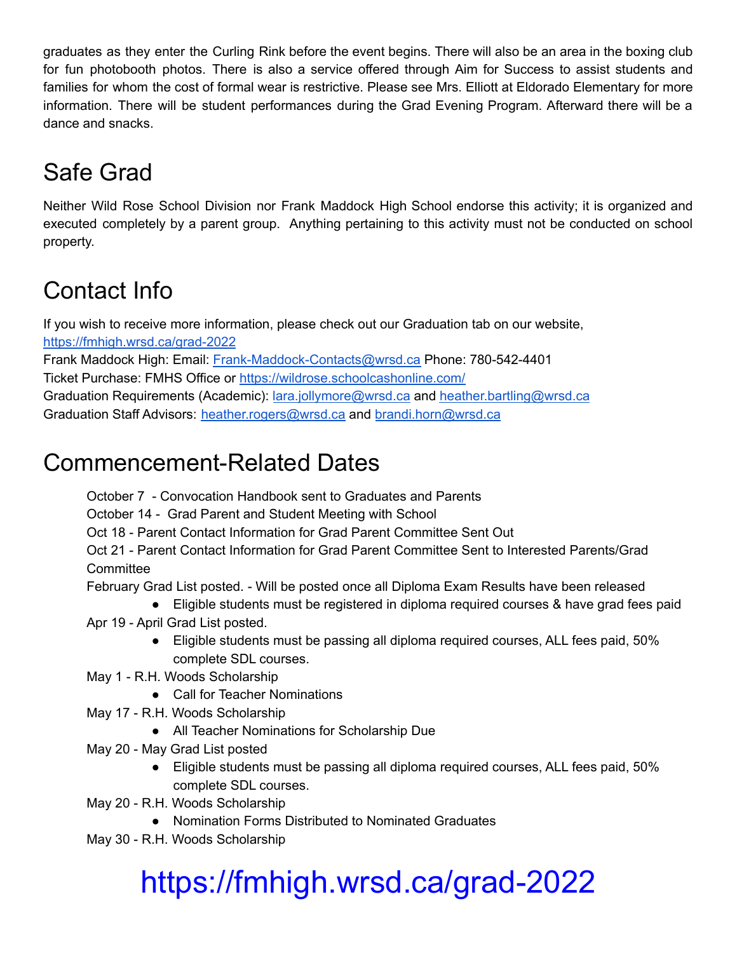graduates as they enter the Curling Rink before the event begins. There will also be an area in the boxing club for fun photobooth photos. There is also a service offered through Aim for Success to assist students and families for whom the cost of formal wear is restrictive. Please see Mrs. Elliott at Eldorado Elementary for more information. There will be student performances during the Grad Evening Program. Afterward there will be a dance and snacks.

### Safe Grad

Neither Wild Rose School Division nor Frank Maddock High School endorse this activity; it is organized and executed completely by a parent group. Anything pertaining to this activity must not be conducted on school property.

### Contact Info

If you wish to receive more information, please check out our Graduation tab on our website, <https://fmhigh.wrsd.ca/grad-2022>

Frank Maddock High: Email: [Frank-Maddock-Contacts@wrsd.ca](mailto:Frank-Maddock-Contacts@wrsd.ca) Phone: 780-542-4401 Ticket Purchase: FMHS Office or <https://wildrose.schoolcashonline.com/> Graduation Requirements (Academic): [lara.jollymore@wrsd.ca](mailto:lara.jollymore@wrsd.ca) and [heather.bartling@wrsd.ca](mailto:heather.bartling@wrsd.ca) Graduation Staff Advisors: [heather.rogers@wrsd.ca](mailto:heather.rogers@wrsd.ca) and [brandi.horn@wrsd.ca](mailto:brandi.horn@wrsd.ca)

#### Commencement-Related Dates

October 7 - Convocation Handbook sent to Graduates and Parents

October 14 - Grad Parent and Student Meeting with School

Oct 18 - Parent Contact Information for Grad Parent Committee Sent Out

Oct 21 - Parent Contact Information for Grad Parent Committee Sent to Interested Parents/Grad **Committee** 

February Grad List posted. - Will be posted once all Diploma Exam Results have been released

- Eligible students must be registered in diploma required courses & have grad fees paid Apr 19 - April Grad List posted.
	- Eligible students must be passing all diploma required courses, ALL fees paid, 50% complete SDL courses.
- May 1 R.H. Woods Scholarship
	- Call for Teacher Nominations
- May 17 R.H. Woods Scholarship
	- All Teacher Nominations for Scholarship Due
- May 20 May Grad List posted
	- Eligible students must be passing all diploma required courses, ALL fees paid, 50% complete SDL courses.
- May 20 R.H. Woods Scholarship
	- Nomination Forms Distributed to Nominated Graduates
- May 30 R.H. Woods Scholarship